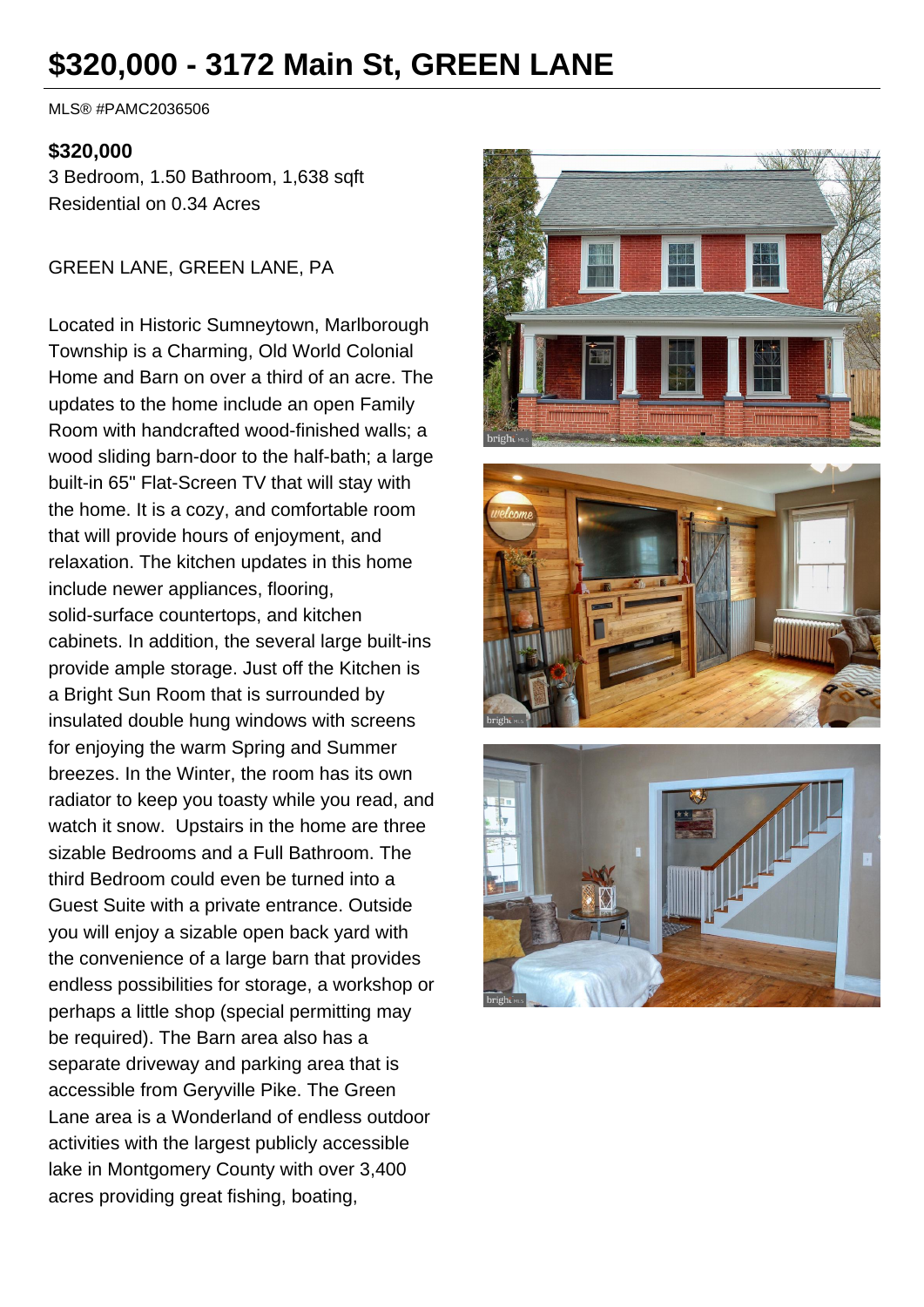# **\$320,000 - 3172 Main St, GREEN LANE**

MLS® #PAMC2036506

#### **\$320,000**

3 Bedroom, 1.50 Bathroom, 1,638 sqft Residential on 0.34 Acres

GREEN LANE, GREEN LANE, PA

Located in Historic Sumneytown, Marlborough Township is a Charming, Old World Colonial Home and Barn on over a third of an acre. The updates to the home include an open Family Room with handcrafted wood-finished walls; a wood sliding barn-door to the half-bath; a large built-in 65" Flat-Screen TV that will stay with the home. It is a cozy, and comfortable room that will provide hours of enjoyment, and relaxation. The kitchen updates in this home include newer appliances, flooring, solid-surface countertops, and kitchen cabinets. In addition, the several large built-ins provide ample storage. Just off the Kitchen is a Bright Sun Room that is surrounded by insulated double hung windows with screens for enjoying the warm Spring and Summer breezes. In the Winter, the room has its own radiator to keep you toasty while you read, and watch it snow. Upstairs in the home are three sizable Bedrooms and a Full Bathroom. The third Bedroom could even be turned into a Guest Suite with a private entrance. Outside you will enjoy a sizable open back yard with the convenience of a large barn that provides endless possibilities for storage, a workshop or perhaps a little shop (special permitting may be required). The Barn area also has a separate driveway and parking area that is accessible from Geryville Pike. The Green Lane area is a Wonderland of endless outdoor activities with the largest publicly accessible lake in Montgomery County with over 3,400 acres providing great fishing, boating,





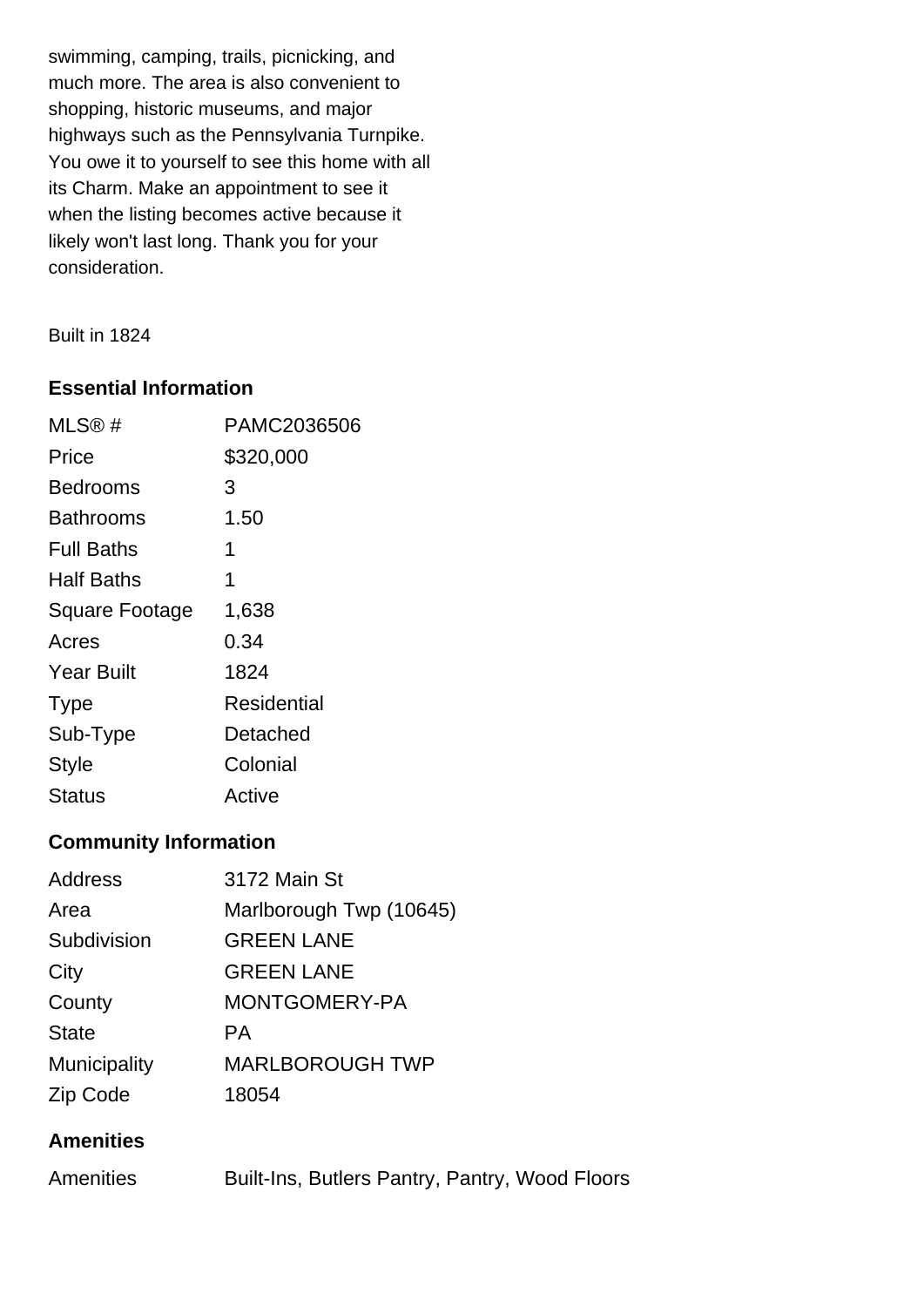swimming, camping, trails, picnicking, and much more. The area is also convenient to shopping, historic museums, and major highways such as the Pennsylvania Turnpike. You owe it to yourself to see this home with all its Charm. Make an appointment to see it when the listing becomes active because it likely won't last long. Thank you for your consideration.

Built in 1824

## **Essential Information**

| MLS@#                 | PAMC2036506 |
|-----------------------|-------------|
| Price                 | \$320,000   |
| Bedrooms              | 3           |
| Bathrooms             | 1.50        |
| <b>Full Baths</b>     | 1           |
| Half Baths            | 1           |
| <b>Square Footage</b> | 1,638       |
| Acres                 | 0.34        |
| <b>Year Built</b>     | 1824        |
| <b>Type</b>           | Residential |
| Sub-Type              | Detached    |
| <b>Style</b>          | Colonial    |
| Status                | Active      |

# **Community Information**

| Address      | 3172 Main St            |
|--------------|-------------------------|
| Area         | Marlborough Twp (10645) |
| Subdivision  | <b>GREEN LANE</b>       |
| City         | <b>GREEN LANE</b>       |
| County       | MONTGOMERY-PA           |
| <b>State</b> | PА.                     |
| Municipality | <b>MARLBOROUGH TWP</b>  |
| Zip Code     | 18054                   |

## **Amenities**

| <b>Amenities</b> |  | Built-Ins, Butlers Pantry, Pantry, Wood Floors |  |  |  |
|------------------|--|------------------------------------------------|--|--|--|
|------------------|--|------------------------------------------------|--|--|--|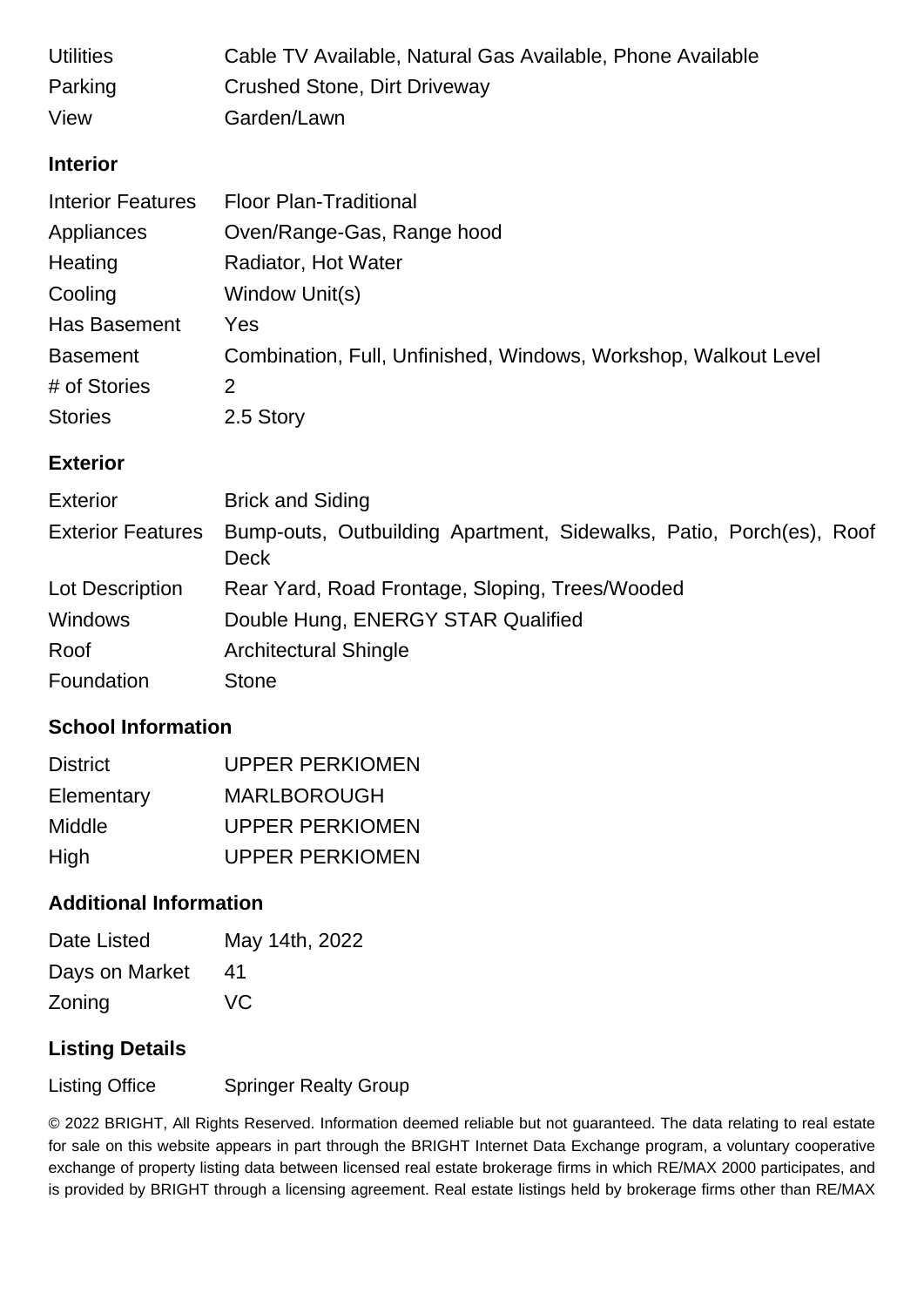| <b>Utilities</b>         | Cable TV Available, Natural Gas Available, Phone Available      |
|--------------------------|-----------------------------------------------------------------|
| Parking                  | <b>Crushed Stone, Dirt Driveway</b>                             |
| View                     | Garden/Lawn                                                     |
| <b>Interior</b>          |                                                                 |
| <b>Interior Features</b> | <b>Floor Plan-Traditional</b>                                   |
| Appliances               | Oven/Range-Gas, Range hood                                      |
| Heating                  | Radiator, Hot Water                                             |
| Cooling                  | Window Unit(s)                                                  |
| Has Basement             | Yes                                                             |
| <b>Basement</b>          | Combination, Full, Unfinished, Windows, Workshop, Walkout Level |
| # of Stories             | 2                                                               |
| <b>Stories</b>           | 2.5 Story                                                       |
| <b>Exterior</b>          |                                                                 |
| Eytarior                 | Rrick and Siding                                                |

| EXTELIOL                 | Brick and Siding                                                                   |
|--------------------------|------------------------------------------------------------------------------------|
| <b>Exterior Features</b> | Bump-outs, Outbuilding Apartment, Sidewalks, Patio, Porch(es), Roof<br><b>Deck</b> |
| Lot Description          | Rear Yard, Road Frontage, Sloping, Trees/Wooded                                    |
| <b>Windows</b>           | Double Hung, ENERGY STAR Qualified                                                 |
| Roof                     | <b>Architectural Shingle</b>                                                       |
| Foundation               | <b>Stone</b>                                                                       |

## **School Information**

| <b>District</b> | <b>UPPER PERKIOMEN</b> |
|-----------------|------------------------|
| Elementary      | <b>MARLBOROUGH</b>     |
| Middle          | UPPER PERKIOMEN        |
| High            | <b>UPPER PERKIOMEN</b> |

#### **Additional Information**

| Date Listed    | May 14th, 2022 |
|----------------|----------------|
| Days on Market | 41             |
| Zoning         | VC             |

## **Listing Details**

Listing Office Springer Realty Group

© 2022 BRIGHT, All Rights Reserved. Information deemed reliable but not guaranteed. The data relating to real estate for sale on this website appears in part through the BRIGHT Internet Data Exchange program, a voluntary cooperative exchange of property listing data between licensed real estate brokerage firms in which RE/MAX 2000 participates, and is provided by BRIGHT through a licensing agreement. Real estate listings held by brokerage firms other than RE/MAX